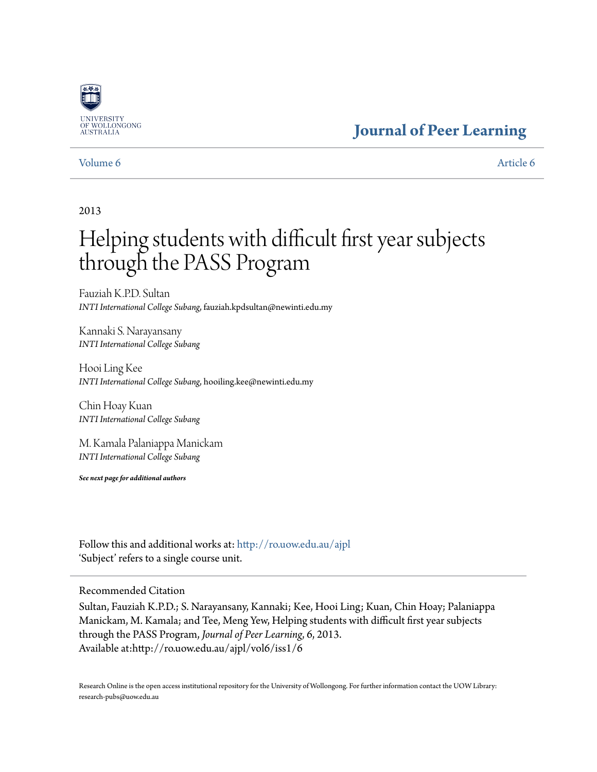

# **[Journal of Peer Learning](http://ro.uow.edu.au/ajpl?utm_source=ro.uow.edu.au%2Fajpl%2Fvol6%2Fiss1%2F6&utm_medium=PDF&utm_campaign=PDFCoverPages)**

# [Volume 6](http://ro.uow.edu.au/ajpl/vol6?utm_source=ro.uow.edu.au%2Fajpl%2Fvol6%2Fiss1%2F6&utm_medium=PDF&utm_campaign=PDFCoverPages) [Article 6](http://ro.uow.edu.au/ajpl/vol6/iss1/6?utm_source=ro.uow.edu.au%2Fajpl%2Fvol6%2Fiss1%2F6&utm_medium=PDF&utm_campaign=PDFCoverPages)

# 2013

# Helping students with difficult first year subjects through the PASS Program

Fauziah K.P.D. Sultan *INTI International College Subang*, fauziah.kpdsultan@newinti.edu.my

Kannaki S. Narayansany *INTI International College Subang*

Hooi Ling Kee *INTI International College Subang*, hooiling.kee@newinti.edu.my

Chin Hoay Kuan *INTI International College Subang*

M. Kamala Palaniappa Manickam *INTI International College Subang*

*See next page for additional authors*

Follow this and additional works at: [http://ro.uow.edu.au/ajpl](http://ro.uow.edu.au/ajpl?utm_source=ro.uow.edu.au%2Fajpl%2Fvol6%2Fiss1%2F6&utm_medium=PDF&utm_campaign=PDFCoverPages) 'Subject' refers to a single course unit.

Recommended Citation

Sultan, Fauziah K.P.D.; S. Narayansany, Kannaki; Kee, Hooi Ling; Kuan, Chin Hoay; Palaniappa Manickam, M. Kamala; and Tee, Meng Yew, Helping students with difficult first year subjects through the PASS Program, *Journal of Peer Learning*, 6, 2013. Available at:http://ro.uow.edu.au/ajpl/vol6/iss1/6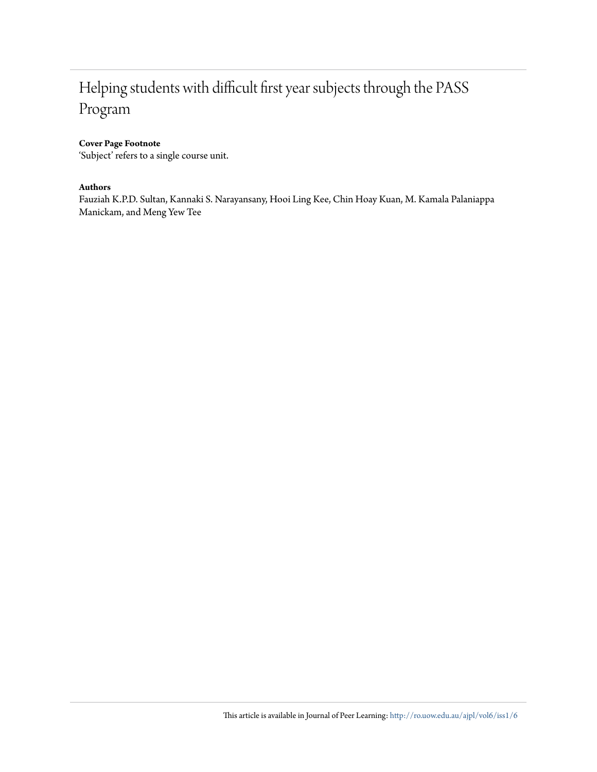# Helping students with difficult first year subjects through the PASS Program

# **Cover Page Footnote**

'Subject' refers to a single course unit.

# **Authors**

Fauziah K.P.D. Sultan, Kannaki S. Narayansany, Hooi Ling Kee, Chin Hoay Kuan, M. Kamala Palaniappa Manickam, and Meng Yew Tee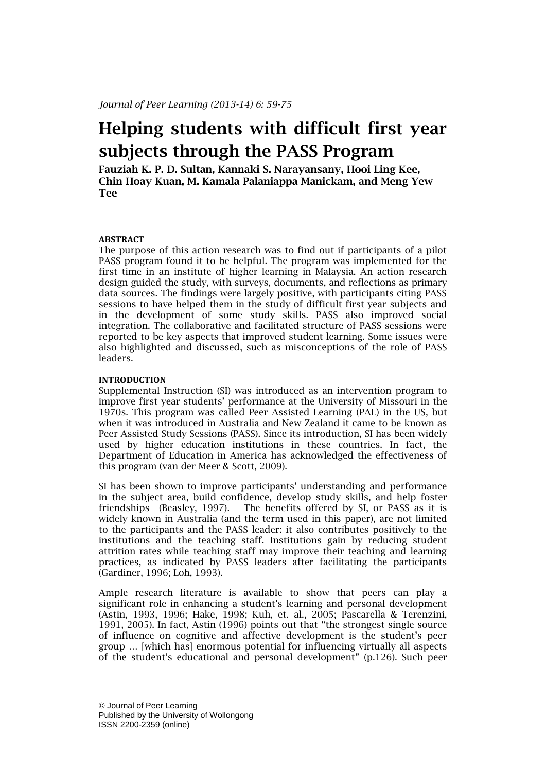# **Helping students with difficult first year subjects through the PASS Program**

**Fauziah K. P. D. Sultan, Kannaki S. Narayansany, Hooi Ling Kee, Chin Hoay Kuan, M. Kamala Palaniappa Manickam, and Meng Yew Tee**

#### **ABSTRACT**

The purpose of this action research was to find out if participants of a pilot PASS program found it to be helpful. The program was implemented for the first time in an institute of higher learning in Malaysia. An action research design guided the study, with surveys, documents, and reflections as primary data sources. The findings were largely positive, with participants citing PASS sessions to have helped them in the study of difficult first year subjects and in the development of some study skills. PASS also improved social integration. The collaborative and facilitated structure of PASS sessions were reported to be key aspects that improved student learning. Some issues were also highlighted and discussed, such as misconceptions of the role of PASS leaders.

# **INTRODUCTION**

Supplemental Instruction (SI) was introduced as an intervention program to improve first year students' performance at the University of Missouri in the 1970s. This program was called Peer Assisted Learning (PAL) in the US, but when it was introduced in Australia and New Zealand it came to be known as Peer Assisted Study Sessions (PASS). Since its introduction, SI has been widely used by higher education institutions in these countries. In fact, the Department of Education in America has acknowledged the effectiveness of this program (van der Meer & Scott, 2009).

SI has been shown to improve participants' understanding and performance in the subject area, build confidence, develop study skills, and help foster friendships (Beasley, 1997). The benefits offered by SI, or PASS as it is widely known in Australia (and the term used in this paper), are not limited to the participants and the PASS leader: it also contributes positively to the institutions and the teaching staff. Institutions gain by reducing student attrition rates while teaching staff may improve their teaching and learning practices, as indicated by PASS leaders after facilitating the participants (Gardiner, 1996; Loh, 1993).

Ample research literature is available to show that peers can play a significant role in enhancing a student's learning and personal development (Astin, 1993, 1996; Hake, 1998; Kuh, et. al., 2005; Pascarella & Terenzini, 1991, 2005). In fact, Astin (1996) points out that "the strongest single source of influence on cognitive and affective development is the student's peer group … [which has] enormous potential for influencing virtually all aspects of the student's educational and personal development" (p.126). Such peer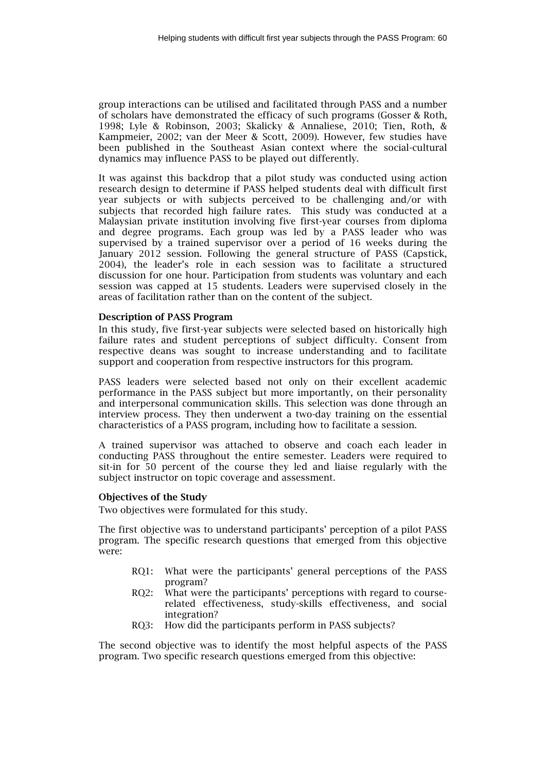group interactions can be utilised and facilitated through PASS and a number of scholars have demonstrated the efficacy of such programs (Gosser & Roth, 1998; Lyle & Robinson, 2003; Skalicky & Annaliese, 2010; Tien, Roth, & Kampmeier, 2002; van der Meer & Scott, 2009). However, few studies have been published in the Southeast Asian context where the social-cultural dynamics may influence PASS to be played out differently.

It was against this backdrop that a pilot study was conducted using action research design to determine if PASS helped students deal with difficult first year subjects or with subjects perceived to be challenging and/or with subjects that recorded high failure rates. This study was conducted at a Malaysian private institution involving five first-year courses from diploma and degree programs. Each group was led by a PASS leader who was supervised by a trained supervisor over a period of 16 weeks during the January 2012 session. Following the general structure of PASS (Capstick, 2004), the leader's role in each session was to facilitate a structured discussion for one hour. Participation from students was voluntary and each session was capped at 15 students. Leaders were supervised closely in the areas of facilitation rather than on the content of the subject.

#### **Description of PASS Program**

In this study, five first-year subjects were selected based on historically high failure rates and student perceptions of subject difficulty. Consent from respective deans was sought to increase understanding and to facilitate support and cooperation from respective instructors for this program.

PASS leaders were selected based not only on their excellent academic performance in the PASS subject but more importantly, on their personality and interpersonal communication skills. This selection was done through an interview process. They then underwent a two-day training on the essential characteristics of a PASS program, including how to facilitate a session.

A trained supervisor was attached to observe and coach each leader in conducting PASS throughout the entire semester. Leaders were required to sit-in for 50 percent of the course they led and liaise regularly with the subject instructor on topic coverage and assessment.

# **Objectives of the Study**

Two objectives were formulated for this study.

The first objective was to understand participants' perception of a pilot PASS program. The specific research questions that emerged from this objective were:

- RQ1: What were the participants' general perceptions of the PASS program?
- RQ2: What were the participants' perceptions with regard to courserelated effectiveness, study-skills effectiveness, and social integration?
- RQ3: How did the participants perform in PASS subjects?

The second objective was to identify the most helpful aspects of the PASS program. Two specific research questions emerged from this objective: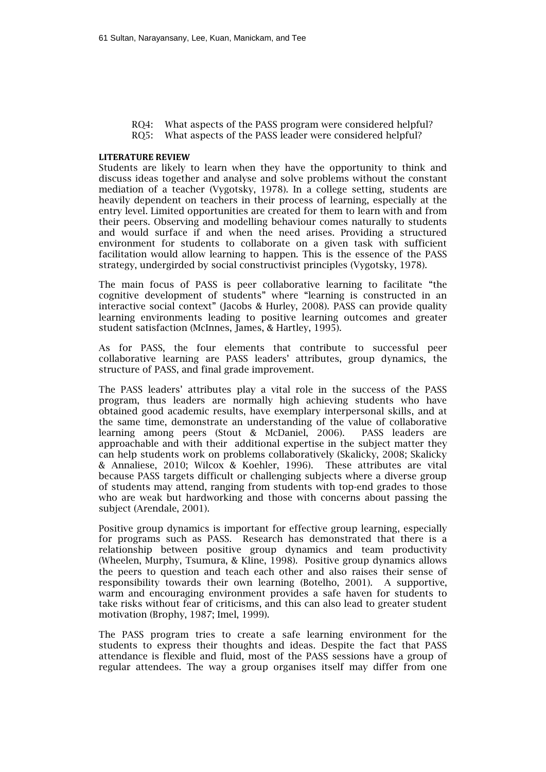- RQ4: What aspects of the PASS program were considered helpful? RQ5: What aspects of the PASS leader were considered helpful?
- **LITERATURE REVIEW**

Students are likely to learn when they have the opportunity to think and discuss ideas together and analyse and solve problems without the constant mediation of a teacher (Vygotsky, 1978). In a college setting, students are heavily dependent on teachers in their process of learning, especially at the entry level. Limited opportunities are created for them to learn with and from their peers. Observing and modelling behaviour comes naturally to students and would surface if and when the need arises. Providing a structured environment for students to collaborate on a given task with sufficient facilitation would allow learning to happen. This is the essence of the PASS strategy, undergirded by social constructivist principles (Vygotsky, 1978).

The main focus of PASS is peer collaborative learning to facilitate "the cognitive development of students" where "learning is constructed in an interactive social context" (Jacobs & Hurley, 2008). PASS can provide quality learning environments leading to positive learning outcomes and greater student satisfaction (McInnes, James, & Hartley, 1995).

As for PASS, the four elements that contribute to successful peer collaborative learning are PASS leaders' attributes, group dynamics, the structure of PASS, and final grade improvement.

The PASS leaders' attributes play a vital role in the success of the PASS program, thus leaders are normally high achieving students who have obtained good academic results, have exemplary interpersonal skills, and at the same time, demonstrate an understanding of the value of collaborative learning among peers (Stout & McDaniel, 2006). PASS leaders are approachable and with their additional expertise in the subject matter they can help students work on problems collaboratively (Skalicky, 2008; Skalicky & Annaliese, 2010; Wilcox & Koehler, 1996). These attributes are vital because PASS targets difficult or challenging subjects where a diverse group of students may attend, ranging from students with top-end grades to those who are weak but hardworking and those with concerns about passing the subject (Arendale, 2001).

Positive group dynamics is important for effective group learning, especially for programs such as PASS. Research has demonstrated that there is a relationship between positive group dynamics and team productivity (Wheelen, Murphy, Tsumura, & Kline, 1998). Positive group dynamics allows the peers to question and teach each other and also raises their sense of responsibility towards their own learning (Botelho, 2001). A supportive, warm and encouraging environment provides a safe haven for students to take risks without fear of criticisms, and this can also lead to greater student motivation (Brophy, 1987; Imel, 1999).

The PASS program tries to create a safe learning environment for the students to express their thoughts and ideas. Despite the fact that PASS attendance is flexible and fluid, most of the PASS sessions have a group of regular attendees. The way a group organises itself may differ from one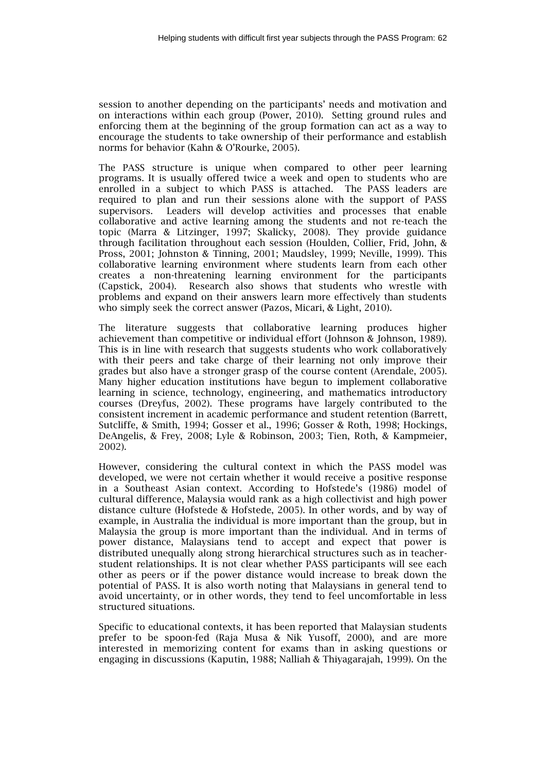session to another depending on the participants' needs and motivation and on interactions within each group (Power, 2010). Setting ground rules and enforcing them at the beginning of the group formation can act as a way to encourage the students to take ownership of their performance and establish norms for behavior (Kahn & O'Rourke, 2005).

The PASS structure is unique when compared to other peer learning programs. It is usually offered twice a week and open to students who are enrolled in a subject to which PASS is attached. The PASS leaders are required to plan and run their sessions alone with the support of PASS supervisors. Leaders will develop activities and processes that enable collaborative and active learning among the students and not re-teach the topic (Marra & Litzinger, 1997; Skalicky, 2008). They provide guidance through facilitation throughout each session (Houlden, Collier, Frid, John, & Pross, 2001; Johnston & Tinning, 2001; Maudsley, 1999; Neville, 1999). This collaborative learning environment where students learn from each other creates a non-threatening learning environment for the participants (Capstick, 2004). Research also shows that students who wrestle with problems and expand on their answers learn more effectively than students who simply seek the correct answer (Pazos, Micari, & Light, 2010).

The literature suggests that collaborative learning produces higher achievement than competitive or individual effort (Johnson & Johnson, 1989). This is in line with research that suggests students who work collaboratively with their peers and take charge of their learning not only improve their grades but also have a stronger grasp of the course content (Arendale, 2005). Many higher education institutions have begun to implement collaborative learning in science, technology, engineering, and mathematics introductory courses (Dreyfus, 2002). These programs have largely contributed to the consistent increment in academic performance and student retention (Barrett, Sutcliffe, & Smith, 1994; Gosser et al., 1996; Gosser & Roth, 1998; Hockings, DeAngelis, & Frey, 2008; Lyle & Robinson, 2003; Tien, Roth, & Kampmeier, 2002).

However, considering the cultural context in which the PASS model was developed, we were not certain whether it would receive a positive response in a Southeast Asian context. According to Hofstede's (1986) model of cultural difference, Malaysia would rank as a high collectivist and high power distance culture (Hofstede & Hofstede, 2005). In other words, and by way of example, in Australia the individual is more important than the group, but in Malaysia the group is more important than the individual. And in terms of power distance, Malaysians tend to accept and expect that power is distributed unequally along strong hierarchical structures such as in teacherstudent relationships. It is not clear whether PASS participants will see each other as peers or if the power distance would increase to break down the potential of PASS. It is also worth noting that Malaysians in general tend to avoid uncertainty, or in other words, they tend to feel uncomfortable in less structured situations.

Specific to educational contexts, it has been reported that Malaysian students prefer to be spoon-fed (Raja Musa & Nik Yusoff, 2000), and are more interested in memorizing content for exams than in asking questions or engaging in discussions (Kaputin, 1988; Nalliah & Thiyagarajah, 1999). On the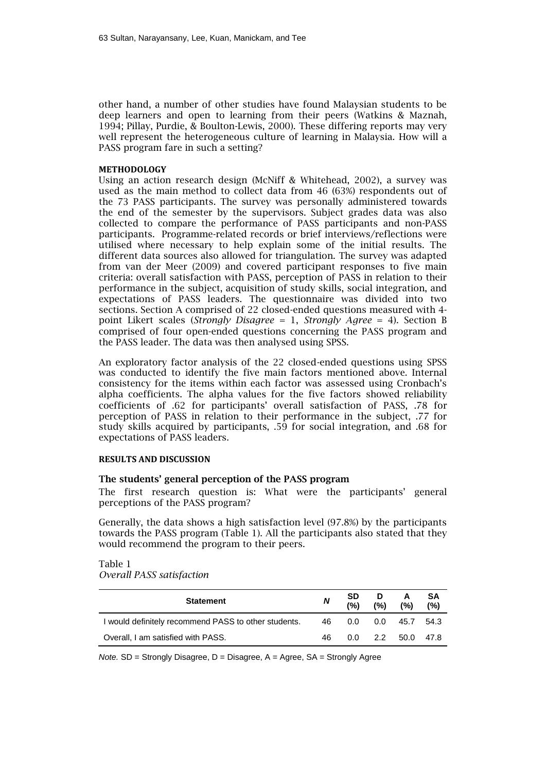other hand, a number of other studies have found Malaysian students to be deep learners and open to learning from their peers (Watkins & Maznah, 1994; Pillay, Purdie, & Boulton-Lewis, 2000). These differing reports may very well represent the heterogeneous culture of learning in Malaysia. How will a PASS program fare in such a setting?

#### **METHODOLOGY**

Using an action research design (McNiff & Whitehead, 2002), a survey was used as the main method to collect data from 46 (63%) respondents out of the 73 PASS participants. The survey was personally administered towards the end of the semester by the supervisors. Subject grades data was also collected to compare the performance of PASS participants and non-PASS participants. Programme-related records or brief interviews/reflections were utilised where necessary to help explain some of the initial results. The different data sources also allowed for triangulation. The survey was adapted from van der Meer (2009) and covered participant responses to five main criteria: overall satisfaction with PASS, perception of PASS in relation to their performance in the subject, acquisition of study skills, social integration, and expectations of PASS leaders. The questionnaire was divided into two sections. Section A comprised of 22 closed-ended questions measured with 4 point Likert scales (*Strongly Disagree* = 1, *Strongly Agree* = 4). Section B comprised of four open-ended questions concerning the PASS program and the PASS leader. The data was then analysed using SPSS.

An exploratory factor analysis of the 22 closed-ended questions using SPSS was conducted to identify the five main factors mentioned above. Internal consistency for the items within each factor was assessed using Cronbach's alpha coefficients. The alpha values for the five factors showed reliability coefficients of .62 for participants' overall satisfaction of PASS, .78 for perception of PASS in relation to their performance in the subject, .77 for study skills acquired by participants, .59 for social integration, and .68 for expectations of PASS leaders.

### **RESULTS AND DISCUSSION**

#### **The students' general perception of the PASS program**

The first research question is: What were the participants' general perceptions of the PASS program?

Generally, the data shows a high satisfaction level (97.8%) by the participants towards the PASS program (Table 1). All the participants also stated that they would recommend the program to their peers.

Table 1

*Overall PASS satisfaction* 

| <b>Statement</b>                                     | N   | <b>SD</b><br>(%) | D<br>(%) | A<br>(%)            | SΑ<br>(%) |
|------------------------------------------------------|-----|------------------|----------|---------------------|-----------|
| I would definitely recommend PASS to other students. | 46. | 0.0              | 0.0      | 45.7                | 54.3      |
| Overall, I am satisfied with PASS.                   | 46  |                  |          | $0.0$ 2.2 50.0 47.8 |           |

*Note.* SD = Strongly Disagree, D = Disagree, A = Agree, SA = Strongly Agree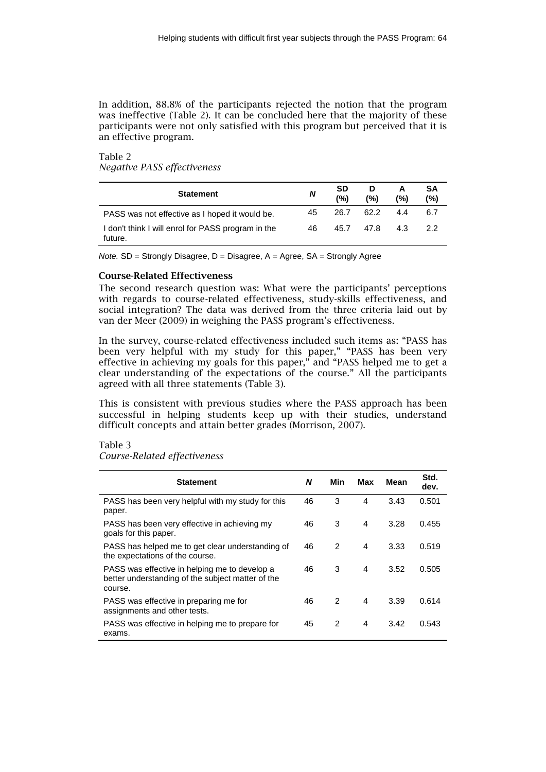In addition, 88.8% of the participants rejected the notion that the program was ineffective (Table 2). It can be concluded here that the majority of these participants were not only satisfied with this program but perceived that it is an effective program.

Table 2 *Negative PASS effectiveness*

| <b>Statement</b>                                              | N  | <b>SD</b><br>(%) | D<br>(%) | A<br>(%) | SΑ<br>(%) |
|---------------------------------------------------------------|----|------------------|----------|----------|-----------|
| PASS was not effective as I hoped it would be.                | 45 | 26.7             | 62.2     | 44       | 6.7       |
| I don't think I will enrol for PASS program in the<br>future. | 46 | 45.7             | 47.8     | 4.3      | 22        |

*Note.* SD = Strongly Disagree, D = Disagree, A = Agree, SA = Strongly Agree

#### **Course-Related Effectiveness**

The second research question was: What were the participants' perceptions with regards to course-related effectiveness, study-skills effectiveness, and social integration? The data was derived from the three criteria laid out by van der Meer (2009) in weighing the PASS program's effectiveness.

In the survey, course-related effectiveness included such items as: "PASS has been very helpful with my study for this paper," "PASS has been very effective in achieving my goals for this paper," and "PASS helped me to get a clear understanding of the expectations of the course." All the participants agreed with all three statements (Table 3).

This is consistent with previous studies where the PASS approach has been successful in helping students keep up with their studies, understand difficult concepts and attain better grades (Morrison, 2007).

Table 3

*Course-Related effectiveness*

| <b>Statement</b>                                                                                              | N  | Min           | Max | Mean | Std.<br>dev. |
|---------------------------------------------------------------------------------------------------------------|----|---------------|-----|------|--------------|
| PASS has been very helpful with my study for this<br>paper.                                                   | 46 | 3             | 4   | 3.43 | 0.501        |
| PASS has been very effective in achieving my<br>goals for this paper.                                         | 46 | 3             | 4   | 3.28 | 0.455        |
| PASS has helped me to get clear understanding of<br>the expectations of the course.                           | 46 | 2             | 4   | 3.33 | 0.519        |
| PASS was effective in helping me to develop a<br>better understanding of the subject matter of the<br>course. | 46 | 3             | 4   | 3.52 | 0.505        |
| PASS was effective in preparing me for<br>assignments and other tests.                                        | 46 | $\mathcal{P}$ | 4   | 3.39 | 0.614        |
| PASS was effective in helping me to prepare for<br>exams.                                                     | 45 | 2             | 4   | 3.42 | 0.543        |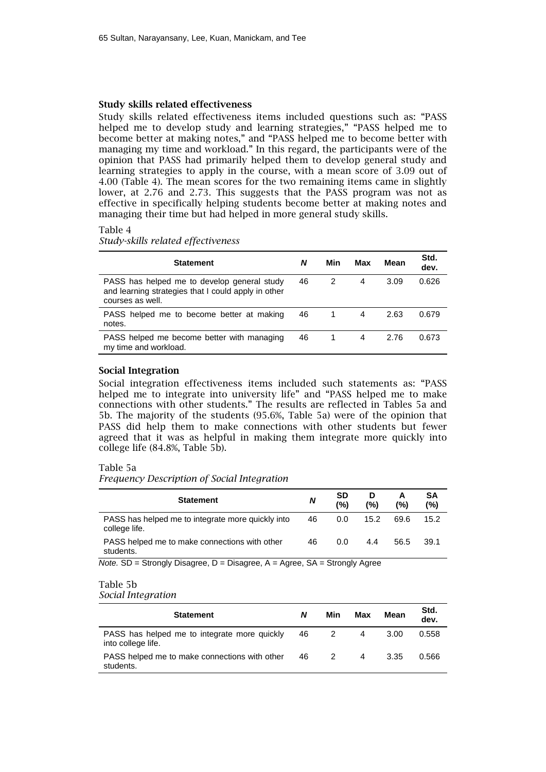#### **Study skills related effectiveness**

Study skills related effectiveness items included questions such as: "PASS helped me to develop study and learning strategies," "PASS helped me to become better at making notes," and "PASS helped me to become better with managing my time and workload." In this regard, the participants were of the opinion that PASS had primarily helped them to develop general study and learning strategies to apply in the course, with a mean score of 3.09 out of 4.00 (Table 4). The mean scores for the two remaining items came in slightly lower, at 2.76 and 2.73. This suggests that the PASS program was not as effective in specifically helping students become better at making notes and managing their time but had helped in more general study skills.

### Table 4

*Study-skills related effectiveness*

| <b>Statement</b>                                                                                                       | N  | Min | Max | Mean | Std.<br>dev. |
|------------------------------------------------------------------------------------------------------------------------|----|-----|-----|------|--------------|
| PASS has helped me to develop general study<br>and learning strategies that I could apply in other<br>courses as well. | 46 | 2   | 4   | 3.09 | 0.626        |
| PASS helped me to become better at making<br>notes.                                                                    | 46 |     | 4   | 2.63 | 0.679        |
| PASS helped me become better with managing<br>my time and workload.                                                    | 46 |     | 4   | 2.76 | 0.673        |

### **Social Integration**

Social integration effectiveness items included such statements as: "PASS helped me to integrate into university life" and "PASS helped me to make connections with other students." The results are reflected in Tables 5a and 5b. The majority of the students (95.6%, Table 5a) were of the opinion that PASS did help them to make connections with other students but fewer agreed that it was as helpful in making them integrate more quickly into college life (84.8%, Table 5b).

#### Table 5a

*Frequency Description of Social Integration*

| <b>Statement</b>                                                   | N  | SD<br>(%) | D<br>(%) | A<br>(%) | SΑ<br>(%) |
|--------------------------------------------------------------------|----|-----------|----------|----------|-----------|
| PASS has helped me to integrate more quickly into<br>college life. | 46 | 0.0       | 15.2     | 69.6     | 15.2      |
| PASS helped me to make connections with other<br>students.         | 46 | 0.0       | 4.4      | 56.5     | 39.1      |

*Note.* SD = Strongly Disagree, D = Disagree, A = Agree, SA = Strongly Agree

#### Table 5b

*Social Integration*

| <b>Statement</b>                                                   | N  | Min | Max          | Mean | Std.<br>dev. |
|--------------------------------------------------------------------|----|-----|--------------|------|--------------|
| PASS has helped me to integrate more quickly<br>into college life. | 46 |     | 4            | 3.00 | 0.558        |
| PASS helped me to make connections with other<br>students.         | 46 |     | $\mathbf{A}$ | 3.35 | 0.566        |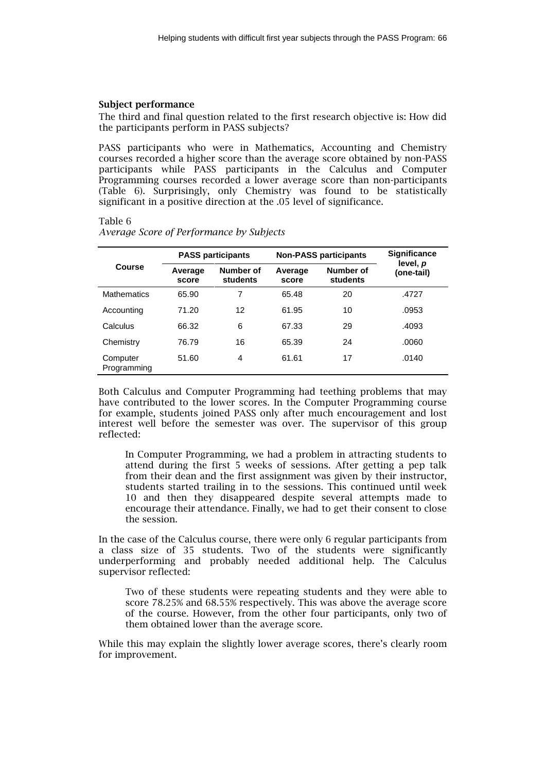#### **Subject performance**

The third and final question related to the first research objective is: How did the participants perform in PASS subjects?

PASS participants who were in Mathematics, Accounting and Chemistry courses recorded a higher score than the average score obtained by non-PASS participants while PASS participants in the Calculus and Computer Programming courses recorded a lower average score than non-participants (Table 6). Surprisingly, only Chemistry was found to be statistically significant in a positive direction at the .05 level of significance.

#### Table 6

|                         | <b>PASS participants</b> |                       |                  | <b>Non-PASS participants</b> | <b>Significance</b><br>level, <i>p</i> |  |
|-------------------------|--------------------------|-----------------------|------------------|------------------------------|----------------------------------------|--|
| Course                  | Average<br>score         | Number of<br>students | Average<br>score | Number of<br>students        | (one-tail)                             |  |
| <b>Mathematics</b>      | 65.90                    | 7                     | 65.48            | 20                           | .4727                                  |  |
| Accounting              | 71.20                    | 12                    | 61.95            | 10                           | .0953                                  |  |
| Calculus                | 66.32                    | 6                     | 67.33            | 29                           | .4093                                  |  |
| Chemistry               | 76.79                    | 16                    | 65.39            | 24                           | .0060                                  |  |
| Computer<br>Programming | 51.60                    | 4                     | 61.61            | 17                           | .0140                                  |  |

*Average Score of Performance by Subjects*

Both Calculus and Computer Programming had teething problems that may have contributed to the lower scores. In the Computer Programming course for example, students joined PASS only after much encouragement and lost interest well before the semester was over. The supervisor of this group reflected:

In Computer Programming, we had a problem in attracting students to attend during the first 5 weeks of sessions. After getting a pep talk from their dean and the first assignment was given by their instructor, students started trailing in to the sessions. This continued until week 10 and then they disappeared despite several attempts made to encourage their attendance. Finally, we had to get their consent to close the session.

In the case of the Calculus course, there were only 6 regular participants from a class size of 35 students. Two of the students were significantly underperforming and probably needed additional help. The Calculus supervisor reflected:

Two of these students were repeating students and they were able to score 78.25% and 68.55% respectively. This was above the average score of the course. However, from the other four participants, only two of them obtained lower than the average score.

While this may explain the slightly lower average scores, there's clearly room for improvement.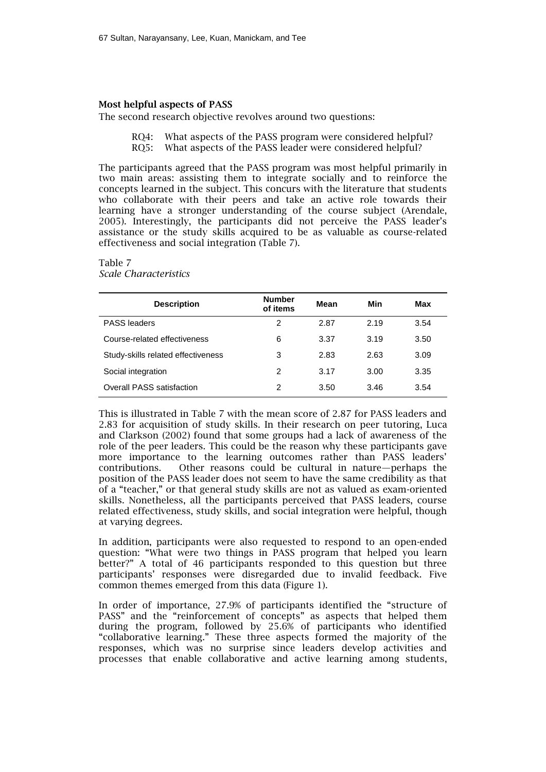# **Most helpful aspects of PASS**

The second research objective revolves around two questions:

RQ4: What aspects of the PASS program were considered helpful?<br>RO5: What aspects of the PASS leader were considered helpful? What aspects of the PASS leader were considered helpful?

The participants agreed that the PASS program was most helpful primarily in two main areas: assisting them to integrate socially and to reinforce the concepts learned in the subject. This concurs with the literature that students who collaborate with their peers and take an active role towards their learning have a stronger understanding of the course subject (Arendale, 2005). Interestingly, the participants did not perceive the PASS leader's assistance or the study skills acquired to be as valuable as course-related effectiveness and social integration (Table 7).

#### Table 7 *Scale Characteristics*

| <b>Description</b>                 | <b>Number</b><br>of items | Mean | Min  | Max  |
|------------------------------------|---------------------------|------|------|------|
| <b>PASS leaders</b>                | 2                         | 2.87 | 2.19 | 3.54 |
| Course-related effectiveness       | 6                         | 3.37 | 3.19 | 3.50 |
| Study-skills related effectiveness | 3                         | 2.83 | 2.63 | 3.09 |
| Social integration                 | $\mathcal{P}$             | 3.17 | 3.00 | 3.35 |
| <b>Overall PASS satisfaction</b>   | 2                         | 3.50 | 3.46 | 3.54 |

This is illustrated in Table 7 with the mean score of 2.87 for PASS leaders and 2.83 for acquisition of study skills. In their research on peer tutoring, Luca and Clarkson (2002) found that some groups had a lack of awareness of the role of the peer leaders. This could be the reason why these participants gave more importance to the learning outcomes rather than PASS leaders' contributions. Other reasons could be cultural in nature—perhaps the position of the PASS leader does not seem to have the same credibility as that of a "teacher," or that general study skills are not as valued as exam-oriented skills. Nonetheless, all the participants perceived that PASS leaders, course related effectiveness, study skills, and social integration were helpful, though at varying degrees.

In addition, participants were also requested to respond to an open-ended question: "What were two things in PASS program that helped you learn better?" A total of 46 participants responded to this question but three participants' responses were disregarded due to invalid feedback. Five common themes emerged from this data (Figure 1).

In order of importance, 27.9% of participants identified the "structure of PASS" and the "reinforcement of concepts" as aspects that helped them during the program, followed by 25.6% of participants who identified "collaborative learning." These three aspects formed the majority of the responses, which was no surprise since leaders develop activities and processes that enable collaborative and active learning among students,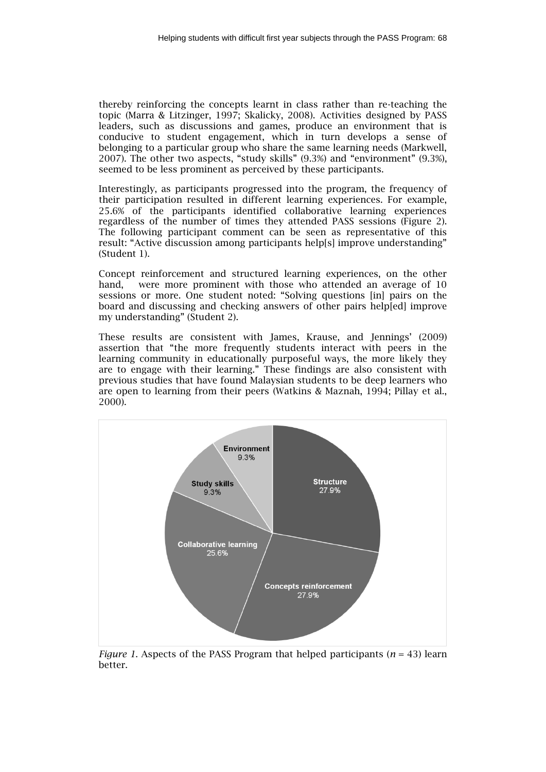thereby reinforcing the concepts learnt in class rather than re-teaching the topic (Marra & Litzinger, 1997; Skalicky, 2008). Activities designed by PASS leaders, such as discussions and games, produce an environment that is conducive to student engagement, which in turn develops a sense of belonging to a particular group who share the same learning needs (Markwell, 2007). The other two aspects, "study skills" (9.3%) and "environment" (9.3%), seemed to be less prominent as perceived by these participants.

Interestingly, as participants progressed into the program, the frequency of their participation resulted in different learning experiences. For example, 25.6% of the participants identified collaborative learning experiences regardless of the number of times they attended PASS sessions (Figure 2). The following participant comment can be seen as representative of this result: "Active discussion among participants help[s] improve understanding" (Student 1).

Concept reinforcement and structured learning experiences, on the other hand, were more prominent with those who attended an average of 10 sessions or more. One student noted: "Solving questions [in] pairs on the board and discussing and checking answers of other pairs help[ed] improve my understanding" (Student 2).

These results are consistent with James, Krause, and Jennings' (2009) assertion that "the more frequently students interact with peers in the learning community in educationally purposeful ways, the more likely they are to engage with their learning." These findings are also consistent with previous studies that have found Malaysian students to be deep learners who are open to learning from their peers (Watkins & Maznah, 1994; Pillay et al., 2000).



*Figure 1.* Aspects of the PASS Program that helped participants  $(n = 43)$  learn better.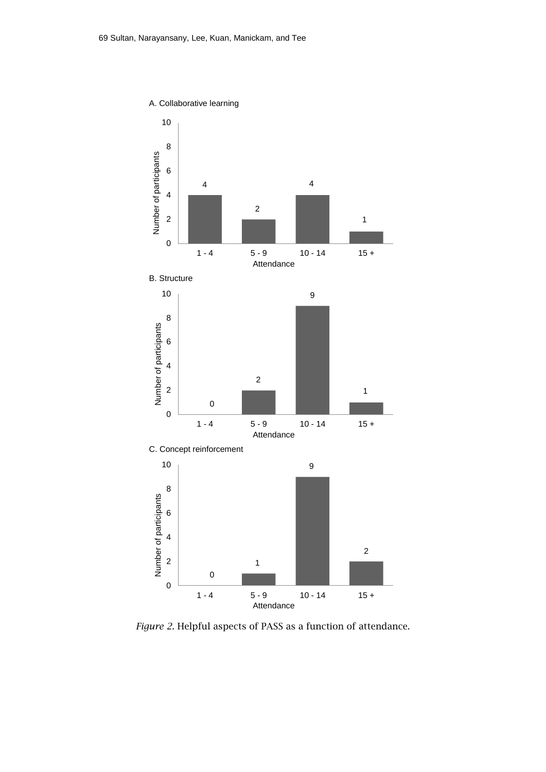

*Figure 2*. Helpful aspects of PASS as a function of attendance.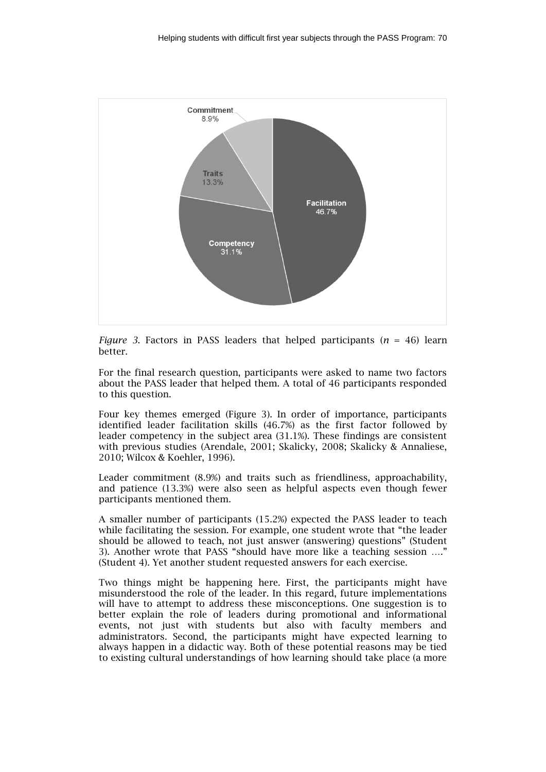

*Figure 3*. Factors in PASS leaders that helped participants ( $n = 46$ ) learn better.

For the final research question, participants were asked to name two factors about the PASS leader that helped them. A total of 46 participants responded to this question.

Four key themes emerged (Figure 3). In order of importance, participants identified leader facilitation skills (46.7%) as the first factor followed by leader competency in the subject area (31.1%). These findings are consistent with previous studies (Arendale, 2001; Skalicky, 2008; Skalicky & Annaliese, 2010; Wilcox & Koehler, 1996).

Leader commitment (8.9%) and traits such as friendliness, approachability, and patience (13.3%) were also seen as helpful aspects even though fewer participants mentioned them.

A smaller number of participants (15.2%) expected the PASS leader to teach while facilitating the session. For example, one student wrote that "the leader should be allowed to teach, not just answer (answering) questions" (Student 3). Another wrote that PASS "should have more like a teaching session …." (Student 4). Yet another student requested answers for each exercise.

Two things might be happening here. First, the participants might have misunderstood the role of the leader. In this regard, future implementations will have to attempt to address these misconceptions. One suggestion is to better explain the role of leaders during promotional and informational events, not just with students but also with faculty members and administrators. Second, the participants might have expected learning to always happen in a didactic way. Both of these potential reasons may be tied to existing cultural understandings of how learning should take place (a more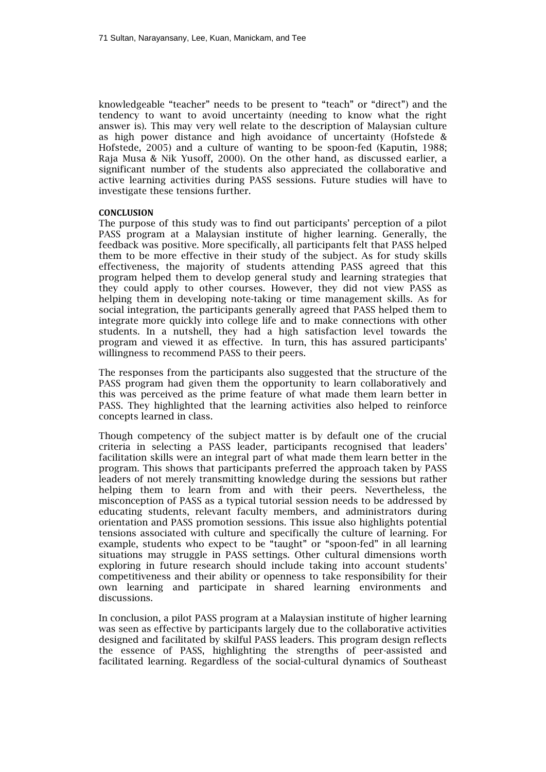knowledgeable "teacher" needs to be present to "teach" or "direct") and the tendency to want to avoid uncertainty (needing to know what the right answer is). This may very well relate to the description of Malaysian culture as high power distance and high avoidance of uncertainty (Hofstede & Hofstede, 2005) and a culture of wanting to be spoon-fed (Kaputin, 1988; Raja Musa & Nik Yusoff, 2000). On the other hand, as discussed earlier, a significant number of the students also appreciated the collaborative and active learning activities during PASS sessions. Future studies will have to investigate these tensions further.

#### **CONCLUSION**

The purpose of this study was to find out participants' perception of a pilot PASS program at a Malaysian institute of higher learning. Generally, the feedback was positive. More specifically, all participants felt that PASS helped them to be more effective in their study of the subject. As for study skills effectiveness, the majority of students attending PASS agreed that this program helped them to develop general study and learning strategies that they could apply to other courses. However, they did not view PASS as helping them in developing note-taking or time management skills. As for social integration, the participants generally agreed that PASS helped them to integrate more quickly into college life and to make connections with other students. In a nutshell, they had a high satisfaction level towards the program and viewed it as effective. In turn, this has assured participants' willingness to recommend PASS to their peers.

The responses from the participants also suggested that the structure of the PASS program had given them the opportunity to learn collaboratively and this was perceived as the prime feature of what made them learn better in PASS. They highlighted that the learning activities also helped to reinforce concepts learned in class.

Though competency of the subject matter is by default one of the crucial criteria in selecting a PASS leader, participants recognised that leaders' facilitation skills were an integral part of what made them learn better in the program. This shows that participants preferred the approach taken by PASS leaders of not merely transmitting knowledge during the sessions but rather helping them to learn from and with their peers. Nevertheless, the misconception of PASS as a typical tutorial session needs to be addressed by educating students, relevant faculty members, and administrators during orientation and PASS promotion sessions. This issue also highlights potential tensions associated with culture and specifically the culture of learning. For example, students who expect to be "taught" or "spoon-fed" in all learning situations may struggle in PASS settings. Other cultural dimensions worth exploring in future research should include taking into account students' competitiveness and their ability or openness to take responsibility for their own learning and participate in shared learning environments and discussions.

In conclusion, a pilot PASS program at a Malaysian institute of higher learning was seen as effective by participants largely due to the collaborative activities designed and facilitated by skilful PASS leaders. This program design reflects the essence of PASS, highlighting the strengths of peer-assisted and facilitated learning. Regardless of the social-cultural dynamics of Southeast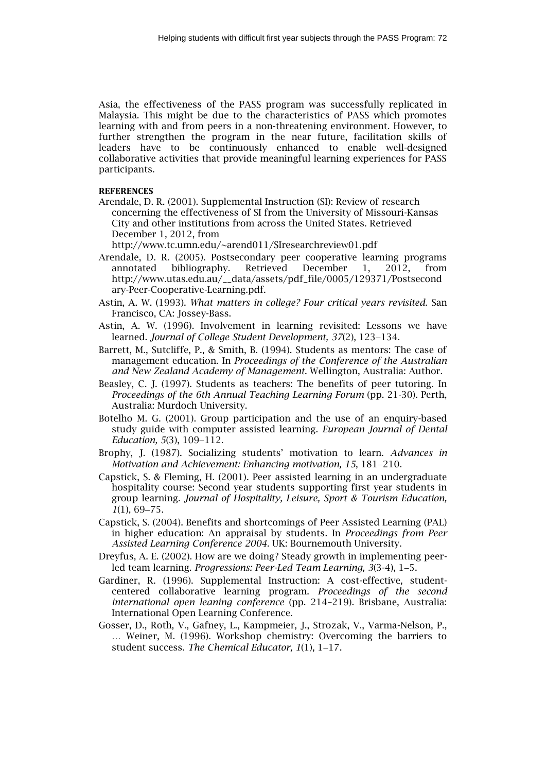Asia, the effectiveness of the PASS program was successfully replicated in Malaysia. This might be due to the characteristics of PASS which promotes learning with and from peers in a non-threatening environment. However, to further strengthen the program in the near future, facilitation skills of leaders have to be continuously enhanced to enable well-designed collaborative activities that provide meaningful learning experiences for PASS participants.

#### **REFERENCES**

Arendale, D. R. (2001). Supplemental Instruction (SI): Review of research concerning the effectiveness of SI from the University of Missouri-Kansas City and other institutions from across the United States. Retrieved December 1, 2012, from

http://www.tc.umn.edu/~arend011/SIresearchreview01.pdf

- Arendale, D. R. (2005). Postsecondary peer cooperative learning programs annotated bibliography. Retrieved December 1, 2012, from annotated bibliography. Retrieved December 1, 2012, from http://www.utas.edu.au/\_\_data/assets/pdf\_file/0005/129371/Postsecond ary-Peer-Cooperative-Learning.pdf.
- Astin, A. W. (1993). *What matters in college? Four critical years revisited.* San Francisco, CA: Jossey-Bass.
- Astin, A. W. (1996). Involvement in learning revisited: Lessons we have learned. *Journal of College Student Development, 37*(2), 123–134.
- Barrett, M., Sutcliffe, P., & Smith, B. (1994). Students as mentors: The case of management education. In *Proceedings of the Conference of the Australian and New Zealand Academy of Management*. Wellington, Australia: Author.
- Beasley, C. J. (1997). Students as teachers: The benefits of peer tutoring. In *Proceedings of the 6th Annual Teaching Learning Forum* (pp. 21-30). Perth, Australia: Murdoch University.
- Botelho M. G. (2001). Group participation and the use of an enquiry-based study guide with computer assisted learning. *European Journal of Dental Education, 5(3), 109-112.*
- Brophy, J. (1987). Socializing students' motivation to learn. *Advances in Motivation and Achievement: Enhancing motivation, 15, 181-210.*
- Capstick, S. & Fleming, H. (2001). Peer assisted learning in an undergraduate hospitality course: Second year students supporting first year students in group learning. *Journal of Hospitality, Leisure, Sport & Tourism Education,*   $1(1), 69 - 75.$
- Capstick, S. (2004). Benefits and shortcomings of Peer Assisted Learning (PAL) in higher education: An appraisal by students. In *Proceedings from Peer Assisted Learning Conference 2004.* UK: Bournemouth University.
- Dreyfus, A. E. (2002). How are we doing? Steady growth in implementing peerled team learning. *Progressions: Peer-Led Team Learning, 3*(3-4), 1-5.
- Gardiner, R. (1996). Supplemental Instruction: A cost-effective, studentcentered collaborative learning program. *Proceedings of the second international open leaning conference* (pp. 214–219). Brisbane, Australia: International Open Learning Conference.
- Gosser, D., Roth, V., Gafney, L., Kampmeier, J., Strozak, V., Varma-Nelson, P., … Weiner, M. (1996). Workshop chemistry: Overcoming the barriers to student success. The Chemical Educator, 1(1), 1-17.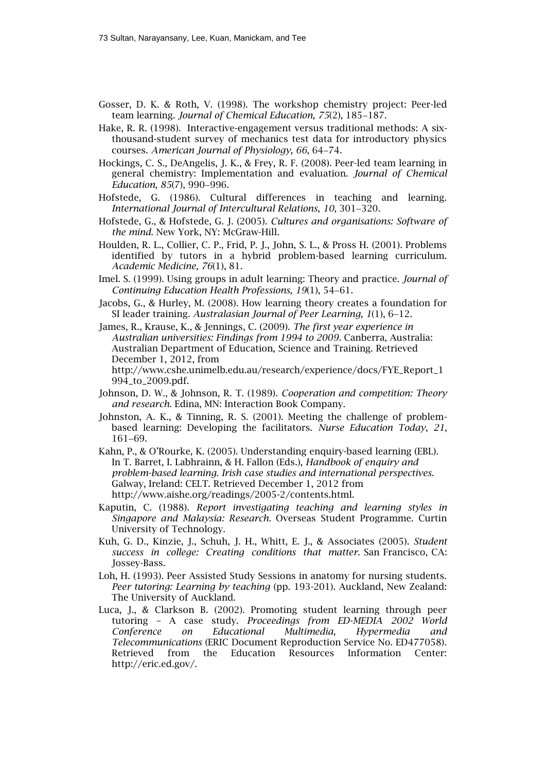- Gosser, D. K. & Roth, V. (1998). The workshop chemistry project: Peer-led team learning. *Journal of Chemical Education, 75(2)*, 185-187.
- Hake, R. R. (1998). Interactive-engagement versus traditional methods: A sixthousand-student survey of mechanics test data for introductory physics courses. *American Journal of Physiology, 66*, 6474.
- Hockings, C. S., DeAngelis, J. K., & Frey, R. F. (2008). Peer-led team learning in general chemistry: Implementation and evaluation. *Journal of Chemical Education, 85(7), 990-996.*
- Hofstede, G. (1986). Cultural differences in teaching and learning. *International Journal of Intercultural Relations, 10, 301-320.*
- Hofstede, G., & Hofstede, G. J. (2005). *Cultures and organisations: Software of the mind*. New York, NY: McGraw-Hill.
- Houlden, R. L., Collier, C. P., Frid, P. J., John, S. L., & Pross H. (2001). Problems identified by tutors in a hybrid problem-based learning curriculum. *Academic Medicine, 76*(1), 81.
- Imel. S. (1999). Using groups in adult learning: Theory and practice. *Journal of Continuing Education Health Professions, 19(1), 54-61.*
- Jacobs, G., & Hurley, M. (2008). How learning theory creates a foundation for SI leader training. Australasian Journal of Peer Learning, 1(1), 6-12.
- James, R., Krause, K., & Jennings, C. (2009). *The first year experience in Australian universities: Findings from 1994 to 2009*. Canberra, Australia: Australian Department of Education, Science and Training. Retrieved December 1, 2012, from

http://www.cshe.unimelb.edu.au/research/experience/docs/FYE\_Report\_1 994\_to\_2009.pdf.

- Johnson, D. W., & Johnson, R. T. (1989). *Cooperation and competition: Theory and research.* Edina, MN: Interaction Book Company.
- Johnston, A. K., & Tinning, R. S. (2001). Meeting the challenge of problembased learning: Developing the facilitators. *Nurse Education Today*, *21*, 161-69.
- Kahn, P., & O'Rourke, K. (2005). Understanding enquiry-based learning (EBL). In T. Barret, I. Labhrainn, & H. Fallon (Eds.), *Handbook of enquiry and problem-based learning. Irish case studies and international perspectives.* Galway, Ireland: CELT. Retrieved December 1, 2012 from http://www.aishe.org/readings/2005-2/contents.html.
- Kaputin, C. (1988). *Report investigating teaching and learning styles in Singapore and Malaysia: Research.* Overseas Student Programme. Curtin University of Technology.
- Kuh, G. D., Kinzie, J., Schuh, J. H., Whitt, E. J., & Associates (2005). *Student success in college: Creating conditions that matter.* San Francisco, CA: Jossey-Bass.
- Loh, H. (1993). Peer Assisted Study Sessions in anatomy for nursing students. *Peer tutoring: Learning by teaching* (pp. 193-201). Auckland, New Zealand: The University of Auckland.
- Luca, J., & Clarkson B. (2002). Promoting student learning through peer tutoring – A case study. *Proceedings from ED-MEDIA 2002 World Conference on Educational Multimedia, Hypermedia and Telecommunications* (ERIC Document Reproduction Service No. ED477058). Retrieved from the Education Resources Information Center: http://eric.ed.gov/.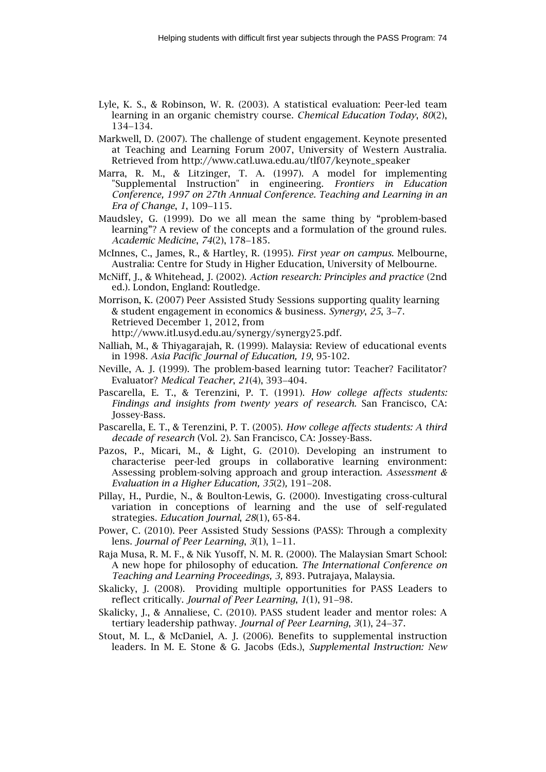- Lyle, K. S., & Robinson, W. R. (2003). A statistical evaluation: Peer-led team learning in an organic chemistry course. *Chemical Education Today*, *80*(2), 134-134.
- Markwell, D. (2007). The challenge of student engagement. Keynote presented at Teaching and Learning Forum 2007, University of Western Australia. Retrieved from http://www.catl.uwa.edu.au/tlf07/keynote\_speaker
- Marra, R. M., & Litzinger, T. A. (1997). A model for implementing "Supplemental Instruction" in engineering. *Frontiers in Education Conference, 1997 on 27th Annual Conference. Teaching and Learning in an Era of Change*, 1, 109-115.
- Maudsley, G. (1999). Do we all mean the same thing by "problem-based learning"? A review of the concepts and a formulation of the ground rules. *Academic Medicine*, 74(2), 178-185.
- McInnes, C., James, R., & Hartley, R. (1995). *First year on campus.* Melbourne, Australia: Centre for Study in Higher Education, University of Melbourne.
- McNiff, J., & Whitehead, J. (2002). *Action research: Principles and practice* (2nd ed.)*.* London, England: Routledge.
- Morrison, K. (2007) Peer Assisted Study Sessions supporting quality learning & student engagement in economics & business. *Synergy*, 25, 3–7. Retrieved December 1, 2012, from http://www.itl.usyd.edu.au/synergy/synergy25.pdf.
- Nalliah, M., & Thiyagarajah, R. (1999). Malaysia: Review of educational events in 1998. *Asia Pacific Journal of Education, 19*, 95-102.
- Neville, A. J. (1999). The problem-based learning tutor: Teacher? Facilitator? Evaluator? *Medical Teacher*, 21(4), 393-404.
- Pascarella, E. T., & Terenzini, P. T. (1991). *How college affects students: Findings and insights from twenty years of research.* San Francisco, CA: Jossey-Bass.
- Pascarella, E. T., & Terenzini, P. T. (2005). *How college affects students: A third decade of research* (Vol. 2). San Francisco, CA: Jossey-Bass.
- Pazos, P., Micari, M., & Light, G. (2010). Developing an instrument to characterise peer-led groups in collaborative learning environment: Assessing problem-solving approach and group interaction. *Assessment & Evaluation in a Higher Education, 35(2), 191-208.*
- Pillay, H., Purdie, N., & Boulton-Lewis, G. (2000). Investigating cross-cultural variation in conceptions of learning and the use of self-regulated strategies. *Education Journal*, *28*(1), 65-84.
- Power, C. (2010). Peer Assisted Study Sessions (PASS): Through a complexity lens. *Journal of Peer Learning*, 3(1), 1-11.
- Raja Musa, R. M. F., & Nik Yusoff, N. M. R. (2000). The Malaysian Smart School: A new hope for philosophy of education. *The International Conference on Teaching and Learning Proceedings, 3,* 893. Putrajaya, Malaysia.
- Skalicky, J. (2008). Providing multiple opportunities for PASS Leaders to reflect critically. *Journal of Peer Learning*, 1(1), 91-98.
- Skalicky, J., & Annaliese, C. (2010). PASS student leader and mentor roles: A tertiary leadership pathway. *Journal of Peer Learning*, 3(1), 24-37.
- Stout, M. L., & McDaniel, A. J. (2006). Benefits to supplemental instruction leaders. In M. E. Stone & G. Jacobs (Eds.), *Supplemental Instruction: New*